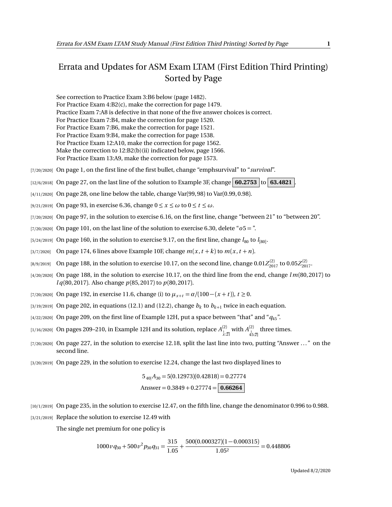## Errata and Updates for ASM Exam LTAM (First Edition Third Printing) Sorted by Page

See correction to Practice Exam 3:B6 below (page 1482).

For Practice Exam 4:B2(c), make the correction for page 1479.

Practice Exam 7:A8 is defective in that none of the five answer choices is correct.

For Practice Exam 7:B4, make the correction for page 1520.

For Practice Exam 7:B6, make the correction for page 1521.

For Practice Exam 9:B4, make the correction for page 1538.

For Practice Exam 12:A10, make the correction for page 1562.

Make the correction to 12:B2(b)(ii) indicated below, page 1566.

For Practice Exam 13:A9, make the correction for page 1573.

[7/20/2020] On page 1, on the first line of the first bullet, change "emphsurvival" to "*survival*".

 $[12/6/2018]$  On page 27, on the last line of the solution to Example 3F, change **60.2753** to **63.4821** 

- [4/11/2020] On page 28, one line below the table, change Var(99, 98) to Var(0.99, 0.98).
- [9/21/2019] On page 93, in exercise 6.36, change  $0 \le x \le \omega$  to  $0 \le t \le \omega$ .
- [7/20/2020] On page 97, in the solution to exercise 6.16, on the first line, change "between 21" to "between 20".
- [7/20/2020] On page 101, on the last line of the solution to exercise 6.30, delete "*o*5 = ".
- $_{[5/24/2019]}$  On page 160, in the solution to exercise 9.17, on the first line, change  $l_{80}$  to  $l_{[80]}$ .
- [3/7/2020] On page 174, 6 lines above Example 10F, change  $m(x, t + k)$  to  $m(x, t + n)$ .
- $_{[8/9/2019]}$  On page 188, in the solution to exercise 10.17, on the second line, change  $0.01 Z_{2017}^{(2)}$  to  $0.05 Z_{2017}^{(2)}$ .
- [4/20/2020] On page 188, in the solution to exercise 10.17, on the third line from the end, change *l m*(80, 2017) to *l q*(80, 2017). Also change *p*(85, 2017) to *p*(80, 2017).
- [7/20/2020] On page 192, in exercise 11.6, change (i) to  $\mu_{x+t} = \alpha/(100 (x + t))$ ,  $t \ge 0$ .
- $\left( \frac{3}{19/2019} \right)$  On page 202, in equations (12.1) and (12.2), change  $b_k$  to  $b_{k+1}$  twice in each equation.
- [4/22/2020] On page 209, on the first line of Example 12H, put a space between "that" and "*q*45".
- [1/16/2020] On pages 209–210, in Example 12H and its solution, replace  $A^{(2)}_{\frac{1}{x},2]}$  with  $A^{(2)}_{45:2]}$  three times.
- [7/20/2020] On page 227, in the solution to exercise 12.18, split the last line into two, putting "Answer ..." on the second line.
- [3/20/2019] On page 229, in the solution to exercise 12.24, change the last two displayed lines to

$$
5_{40|}A_{30} = 5(0.12973)(0.42818) = 0.27774
$$
  
Answer = 0.3849 + 0.27774 = 0.66264

- [10/1/2019] On page 235, in the solution to exercise 12.47, on the fifth line, change the denominator 0.996 to 0.988.
- [3/21/2019] Replace the solution to exercise 12.49 with

The single net premium for one policy is

$$
1000 \nu q_{30} + 500 \nu^2 p_{30} q_{31} = \frac{315}{1.05} + \frac{500(0.000327)(1 - 0.000315)}{1.05^2} = 0.448806
$$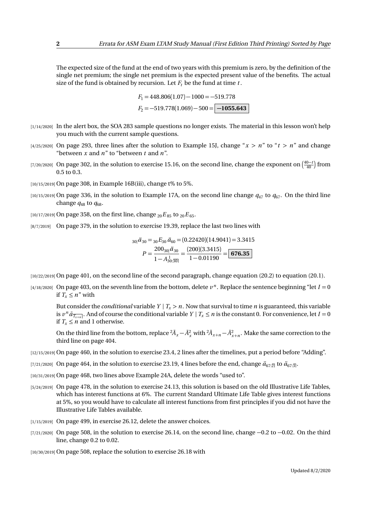The expected size of the fund at the end of two years with this premium is zero, by the definition of the single net premium; the single net premium is the expected present value of the benefits. The actual size of the fund is obtained by recursion. Let  $F_t$  be the fund at time  $t$ .

$$
F_1 = 448.806(1.07) - 1000 = -519.778
$$
  

$$
F_2 = -519.778(1.069) - 500 = \boxed{-1055.643}
$$

- [1/14/2020] In the alert box, the SOA 283 sample questions no longer exists. The material in this lesson won't help you much with the current sample questions.
- $[4/25/2020]$  On page 293, three lines after the solution to Example 15J, change " $x > n$ " to " $t > n$ " and change "between *x* and *n*" to "between *t* and *n*".
- [7/20/2020] On page 302, in the solution to exercise 15.16, on the second line, change the exponent on  $\left(\frac{40-t}{40}\right)$  from 0.5 to 0.3.
- [10/15/2019] On page 308, in Example 16B(iii), change t% to 5%.
- $[10/15/2019]$  On page 336, in the solution to Example 17A, on the second line change  $q_{47}$  to  $q_{67}$ . On the third line change  $q_{48}$  to  $q_{68}$ .

[10/17/2019] On page 358, on the first line, change  ${}_{20}E_{85}$  to  ${}_{20}E_{65}$ .

[8/7/2019] On page 379, in the solution to exercise 19.39, replace the last two lines with

$$
30| \ddot{a}_{30} = 30 E_{30} \ddot{a}_{60} = (0.22420)(14.9041) = 3.3415
$$

$$
P = \frac{200_{30} | \ddot{a}_{30}}{1 - A_{30.30}^1} = \frac{(200)(3.3415)}{1 - 0.01190} = \boxed{676.35}
$$

[10/22/2019] On page 401, on the second line of the second paragraph, change equation (20.2) to equation (20.1).

 $(4/18/2020]$  On page 403, on the seventh line from the bottom, delete  $v^n$ . Replace the sentence beginning "let  $I = 0$ if  $T_x \leq n''$  with

But consider the *conditional* variable  $Y | T_x > n$ . Now that survival to time *n* is guaranteed, this variable is  $v^n \bar{a}_{\overline{T_{x+n}}}$ . And of course the conditional variable  $Y | T_x \le n$  is the constant 0. For convenience, let  $I = 0$ if  $T_x \leq n$  and 1 otherwise.

On the third line from the bottom, replace  ${}^2\bar{A}_x - \bar{A}_x^2$  with  ${}^2\bar{A}_{x+n} - \bar{A}_{x+n}^2$ . Make the same correction to the third line on page 404.

- [12/15/2019] On page 460, in the solution to exercise 23.4, 2 lines after the timelines, put a period before "Adding".
- [7/21/2020] On page 464, in the solution to exercise 23.19, 4 lines before the end, change  $\ddot{a}_{67:\overline{2}|}$  to  $\ddot{a}_{67:\overline{3}|}$ .
- [10/31/2019] On page 468, two lines above Example 24A, delete the words "used to".
- [5/24/2019] On page 478, in the solution to exercise 24.13, this solution is based on the old Illustrative Life Tables, which has interest functions at 6%. The current Standard Ultimate Life Table gives interest functions at 5%, so you would have to calculate all interest functions from first principles if you did not have the Illustrative Life Tables available.
- [1/15/2019] On page 499, in exercise 26.12, delete the answer choices.
- [7/21/2020] On page 508, in the solution to exercise 26.14, on the second line, change −0.2 to −0.02. On the third line, change 0.2 to 0.02.

[10/30/2019] On page 508, replace the solution to exercise 26.18 with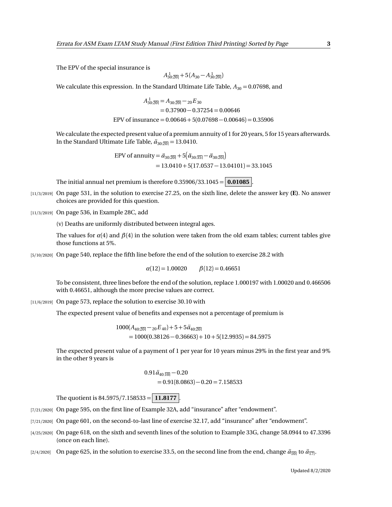The EPV of the special insurance is

$$
A_{30:20}^{1} + 5(A_{30} - A_{30:20}^{1})
$$

We calculate this expression. In the Standard Ultimate Life Table,  $A_{30} = 0.07698$ , and

$$
A_{30:20}^{1} = A_{30:20} - 20E_{30}
$$
  
= 0.37900 - 0.37254 = 0.00646  
EPV of insurance = 0.00646 + 5(0.07698 - 0.00646) = 0.35906

We calculate the expected present value of a premium annuity of 1 for 20 years, 5 for 15 years afterwards. In the Standard Ultimate Life Table,  $\ddot{a}_{30:20} = 13.0410$ .

> EPV of annuity =  $\ddot{a}_{30:\overline{20|}} + 5(\ddot{a}_{30:\overline{35|}} - \ddot{a}_{30:\overline{20|}})$  $= 13.0410 + 5(17.0537 - 13.04101) = 33.1045$

The initial annual net premium is therefore  $0.35906/33.1045 = 0.01085$ 

- [11/3/2019] On page 531, in the solution to exercise 27.25, on the sixth line, delete the answer key **(E)**. No answer choices are provided for this question.
- [11/3/2019] On page 536, in Example 28C, add

(v) Deaths are uniformly distributed between integral ages.

The values for  $\alpha$ (4) and  $\beta$ (4) in the solution were taken from the old exam tables; current tables give those functions at 5%.

[5/10/2020] On page 540, replace the fifth line before the end of the solution to exercise 28.2 with

 $\alpha(12) = 1.00020$   $\beta(12) = 0.46651$ 

To be consistent, three lines before the end of the solution, replace 1.000197 with 1.00020 and 0.466506 with 0.46651, although the more precise values are correct.

[11/6/2019] On page 573, replace the solution to exercise 30.10 with

The expected present value of benefits and expenses not a percentage of premium is

 $1000(A_{40:20} - 20E_{40}) + 5 + 5\ddot{a}_{40:20}$  $= 1000(0.38126 - 0.36663) + 10 + 5(12.9935) = 84.5975$ 

The expected present value of a payment of 1 per year for 10 years minus 29% in the first year and 9% in the other 9 years is

$$
0.91 \ddot{a}_{40:\overline{10}} - 0.20
$$
  
= 0.91(8.0863) - 0.20 = 7.158533

The quotient is  $84.5975/7.158533 = 11.8177$ .

- [7/21/2020] On page 595, on the first line of Example 32A, add "insurance" after "endowment".
- [7/21/2020] On page 601, on the second-to-last line of exercise 32.17, add "insurance" after "endowment".
- [4/25/2020] On page 618, on the sixth and seventh lines of the solution to Example 33G, change 58.0944 to 47.3396 (once on each line).
- [2/4/2020] On page 625, in the solution to exercise 33.5, on the second line from the end, change  $\ddot{a}_{\overline{10}}$  to  $\ddot{a}_{\overline{17}}$ .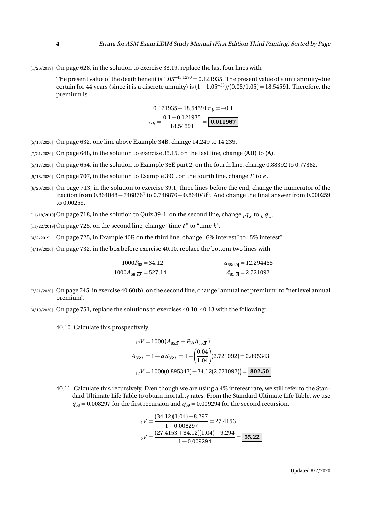[1/26/2019] On page 628, in the solution to exercise 33.19, replace the last four lines with

The present value of the death benefit is  $1.05<sup>-43.1290</sup> = 0.121935$ . The present value of a unit annuity-due certain for 44 years (since it is a discrete annuity) is (<sup>1</sup> <sup>−</sup> 1.05<sup>−</sup><sup>33</sup>)*/*(0.05*/*1.05) = 18.54591. Therefore, the premium is

$$
0.121935 - 18.54591\pi_b = -0.1
$$

$$
\pi_b = \frac{0.1 + 0.121935}{18.54591} = \boxed{0.011967}
$$

[5/13/2020] On page 632, one line above Example 34B, change 14.249 to 14.239.

- [7/21/2020] On page 648, in the solution to exercise 35.15, on the last line, change **(AD)** to **(A)**.
- [5/17/2020] On page 654, in the solution to Example 36E part 2, on the fourth line, change 0.88392 to 0.77382.
- [5/18/2020] On page 707, in the solution to Example 39C, on the fourth line, change *E* to *e* .
- [6/20/2020] On page 713, in the solution to exercise 39.1, three lines before the end, change the numerator of the fraction from  $0.864048 - 746876^2$  to  $0.746876 - 0.864048^2$ . And change the final answer from  $0.000259$ to 0.00259.

 $_{[11/18/2019]}$  On page 718, in the solution to Quiz 39-1, on the second line, change  $_{t}q_{_{X}}$  to  $_{k|}q_{_{X}}$ .

 $[11/22/2019]$  On page 725, on the second line, change "time  $t$ " to "time  $k$ ".

- [4/2/2019] On page 725, in Example 40F, on the third line, change "6% interest" to "5% interest".
- [4/19/2020] On page 732, in the box before exercise 40.10, replace the bottom two lines with

| $1000P_{68} = 34.12$     | $\ddot{a}_{68:20} = 12.294465$ |
|--------------------------|--------------------------------|
| $1000A_{68:20} = 527.14$ | $\ddot{a}_{85:3} = 2.721092$   |

- [7/21/2020] On page 745, in exercise 40.60(b), on the second line, change "annual net premium" to "net level annual premium".
- [4/19/2020] On page 751, replace the solutions to exercises 40.10–40.13 with the following:

40.10 Calculate this prospectively.

$$
{}_{17}V = 1000 (A_{85:\overline{3}}) - P_{68} \ddot{a}_{85:\overline{3}})
$$
  
\n
$$
A_{85:\overline{3}} = 1 - d \ddot{a}_{85:\overline{3}} = 1 - \left(\frac{0.04}{1.04}\right) (2.721092) = 0.895343
$$
  
\n
$$
{}_{17}V = 1000(0.895343) - 34.12(2.721092) = 802.50
$$

40.11 Calculate this recursively. Even though we are using a 4% interest rate, we still refer to the Standard Ultimate Life Table to obtain mortality rates. From the Standard Ultimate Life Table, we use  $q_{68} = 0.008297$  for the first recursion and  $q_{69} = 0.009294$  for the second recursion.

$$
_1V = \frac{(34.12)(1.04) - 8.297}{1 - 0.008297} = 27.4153
$$

$$
_2V = \frac{(27.4153 + 34.12)(1.04) - 9.294}{1 - 0.009294} = \boxed{55.22}
$$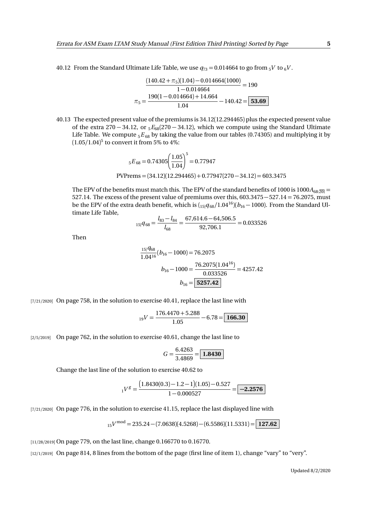40.12 From the Standard Ultimate Life Table, we use  $q_{73} = 0.014664$  to go from  $5V$  to  $6V$ .

$$
\frac{(140.42 + \pi_5)(1.04) - 0.014664(1000)}{1 - 0.014664} = 190
$$

$$
\pi_5 = \frac{190(1 - 0.014664) + 14.664}{1.04} - 140.42 = 53.69
$$

40.13 The expected present value of the premiums is 34.12(12.294465) plus the expected present value of the extra 270 − 34.12, or <sup>5</sup>*E*68(270 − 34.12), which we compute using the Standard Ultimate Life Table. We compute <sub>5</sub> $E_{68}$  by taking the value from our tables (0.74305) and multiplying it by (1.05*/*1.04) 5 to convert it from 5% to 4%:

$$
{}_{5}E_{68} = 0.74305 \left(\frac{1.05}{1.04}\right)^{5} = 0.77947
$$
  
PVPrems = (34.12)(12.294465) + 0.77947(270 - 34.12) = 603.3475

The EPV of the benefits must match this. The EPV of the standard benefits of 1000 is 1000 $A_{68:20}$  = 527.14. The excess of the present value of premiums over this, 603.3475−527.14 = 76.2075, must be the EPV of the extra death benefit, which is  $\left(15|q_{68}/1.04^{16}\right)\left(b_{16}-1000\right)$ . From the Standard Ultimate Life Table,

$$
{}_{15|}q_{68} = \frac{l_{83} - l_{84}}{l_{68}} = \frac{67,614.6 - 64,506.5}{92,706.1} = 0.033526
$$

Then

$$
\frac{15|\cancel{q_{68}}}{1.04^{16}}(b_{16} - 1000) = 76.2075
$$
\n
$$
b_{16} - 1000 = \frac{76.2075(1.04^{16})}{0.033526} = 4257.42
$$
\n
$$
b_{16} = \boxed{5257.42}
$$

[7/21/2020] On page 758, in the solution to exercise 40.41, replace the last line with

$$
_{19}V = \frac{176.4470 + 5.288}{1.05} - 6.78 = \boxed{166.30}
$$

[2/5/2019] On page 762, in the solution to exercise 40.61, change the last line to

$$
G = \frac{6.4263}{3.4869} = \boxed{1.8430}
$$

Change the last line of the solution to exercise 40.62 to

$$
_1V^g = \frac{(1.8430(0.3) - 1.2 - 1)(1.05) - 0.527}{1 - 0.000527} = \boxed{-2.2576}
$$

[7/21/2020] On page 776, in the solution to exercise 41.15, replace the last displayed line with

$$
_{15}V^{\text{mod}} = 235.24 - (7.0638)(4.5268) - (6.5586)(11.5331) = \boxed{127.62}
$$

[11/28/2019] On page 779, on the last line, change 0.166770 to 0.16770.

[12/1/2019] On page 814, 8 lines from the bottom of the page (first line of item 1), change "vary" to "very".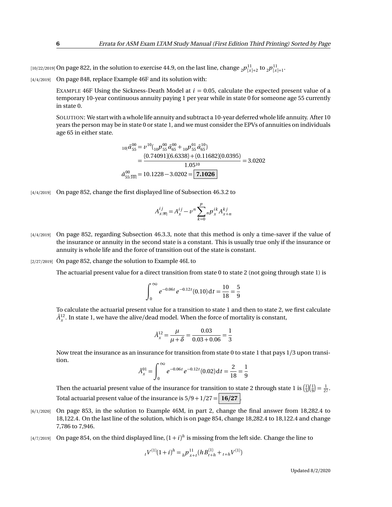$_{[10/22/2019]}$  On page 822, in the solution to exercise 44.9, on the last line, change  $_{2}p_{[x]+2}^{11}$  to  $_{2}p_{[x]+1}^{11}$ .

[4/4/2019] On page 848, replace Example 46F and its solution with:

EXAMPLE 46F Using the Sickness-Death Model at  $i = 0.05$ , calculate the expected present value of a temporary 10-year continuous annuity paying 1 per year while in state 0 for someone age 55 currently in state 0.

SOLUTION: We start with a whole life annuity and subtract a 10-year deferred whole life annuity. After 10 years the person may be in state 0 or state 1, and we must consider the EPVs of annuities on individuals age 65 in either state.

$$
{}_{10|}\bar{a}_{55}^{00} = \nu^{10}({}_{10}\nu^{00}_{55}\bar{a}_{65}^{00} + {}_{10}\nu^{01}_{55}\bar{a}_{65}^{10})
$$
  
= 
$$
\frac{(0.74091)(6.6338) + (0.11682)(0.0395)}{1.05^{10}} = 3.0202
$$
  

$$
\bar{a}_{55:\overline{10|}}^{00} = 10.1228 - 3.0202 = \boxed{7.1026}
$$

[4/4/2019] On page 852, change the first displayed line of Subsection 46.3.2 to

$$
A_{x:\overline{n}}^{ij} = A_x^{ij} - v^n \sum_{k=0}^p n p_x^{ik} A_{x+n}^{kj}
$$

- [4/4/2019] On page 852, regarding Subsection 46.3.3, note that this method is only a time-saver if the value of the insurance or annuity in the second state is a constant. This is usually true only if the insurance or annuity is whole life and the force of transition out of the state is constant.
- [2/27/2019] On page 852, change the solution to Example 46L to

The actuarial present value for a direct transition from state 0 to state 2 (not going through state 1) is

$$
\int_0^\infty e^{-0.06t} e^{-0.12t} (0.10) dt = \frac{10}{18} = \frac{5}{9}
$$

To calculate the actuarial present value for a transition to state 1 and then to state 2, we first calculate  $\bar{A}_x^{12}$ . In state 1, we have the alive/dead model. When the force of mortality is constant,

$$
\bar{A}_x^{12} = \frac{\mu}{\mu + \delta} = \frac{0.03}{0.03 + 0.06} = \frac{1}{3}
$$

Now treat the insurance as an insurance for transition from state 0 to state 1 that pays 1/3 upon transition.

$$
\bar{A}^{01}_x = \int_0^\infty e^{-0.06t} e^{-0.12t} (0.02) \, \mathrm{d}t = \frac{2}{18} = \frac{1}{9}
$$

Then the actuarial present value of the insurance for transition to state 2 through state 1 is  $\left(\frac{1}{3}\right)\left(\frac{1}{9}\right) = \frac{1}{27}$ . Total actuarial present value of the insurance is  $5/9 + 1/27 = 16/27$ .

- [6/1/2020] On page 853, in the solution to Example 46M, in part 2, change the final answer from 18,282.4 to 18,122.4. On the last line of the solution, which is on page 854, change 18,282.4 to 18,122.4 and change 7,786 to 7,946.
- $_{[4/7/2019]}$  On page 854, on the third displayed line,  $(1+i)^h$  is missing from the left side. Change the line to

$$
{}_{t}V^{(1)}(1+i)^{h} = {}_{h}P_{x+t}^{11}(hB_{t+h}^{(1)} + {}_{t+h}V^{(1)})
$$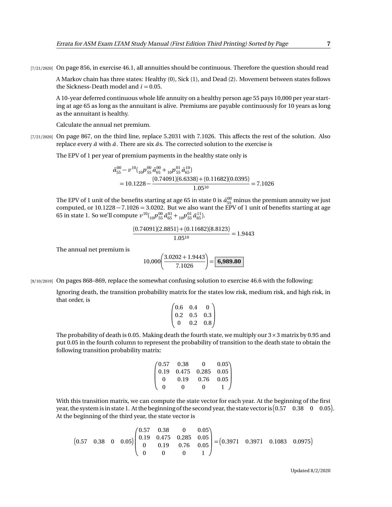[7/21/2020] On page 856, in exercise 46.1, all annuities should be continuous. Therefore the question should read

A Markov chain has three states: Healthy (0), Sick (1), and Dead (2). Movement between states follows the Sickness-Death model and  $i = 0.05$ .

A 10-year deferred continuous whole life annuity on a healthy person age 55 pays 10,000 per year starting at age 65 as long as the annuitant is alive. Premiums are payable continuously for 10 years as long as the annuitant is healthy.

Calculate the annual net premium.

[7/21/2020] On page 867, on the third line, replace 5.2031 with 7.1026. This affects the rest of the solution. Also replace every  $\ddot{a}$  with  $\ddot{a}$ . There are six  $\ddot{a}$ s. The corrected solution to the exercise is

The EPV of 1 per year of premium payments in the healthy state only is

$$
\bar{a}_{55}^{00} - \nu^{10} \left( \frac{1}{10} p_{55}^{00} \bar{a}_{65}^{00} + \frac{1}{10} p_{55}^{01} \bar{a}_{65}^{10} \right) \n= 10.1228 - \frac{(0.74091)(6.6338) + (0.11682)(0.0395)}{1.05^{10}} = 7.1026
$$

The EPV of 1 unit of the benefits starting at age 65 in state 0 is  $\bar{a}_{55}^{00}$  minus the premium annuity we just computed, or  $10.1228 - 7.1026 = 3.0202$ . But we also want the EPV of 1 unit of benefits starting at age 65 in state 1. So we'll compute  $v^{10}({}_{10}p^{00}_{55}\bar{a}^{01}_{65}+{}_{10}p^{01}_{55}\bar{a}^{11}_{65}).$ 

$$
\frac{(0.74091)(2.8851) + (0.11682)(8.8123)}{1.05^{10}} = 1.9443
$$

The annual net premium is

$$
10,000\left(\frac{3.0202+1.9443}{7.1026}\right) = \boxed{6,989.80}
$$

[9/10/2019] On pages 868–869, replace the somewhat confusing solution to exercise 46.6 with the following:

Ignoring death, the transition probability matrix for the states low risk, medium risk, and high risk, in that order, is

$$
\begin{pmatrix} 0.6 & 0.4 & 0 \\ 0.2 & 0.5 & 0.3 \\ 0 & 0.2 & 0.8 \end{pmatrix}
$$

The probability of death is 0.05. Making death the fourth state, we multiply our  $3 \times 3$  matrix by 0.95 and put 0.05 in the fourth column to represent the probability of transition to the death state to obtain the following transition probability matrix:

$$
\begin{pmatrix} 0.57 & 0.38 & 0 & 0.05 \\ 0.19 & 0.475 & 0.285 & 0.05 \\ 0 & 0.19 & 0.76 & 0.05 \\ 0 & 0 & 0 & 1 \end{pmatrix}
$$

With this transition matrix, we can compute the state vector for each year. At the beginning of the first year, the system is in state 1. At the beginning of the second year, the state vector is  $(0.57\quad 0.38\quad 0\quad 0.05)$ . At the beginning of the third year, the state vector is

$$
\begin{bmatrix} 0.57 & 0.38 & 0 & 0.05 \end{bmatrix} \begin{pmatrix} 0.57 & 0.38 & 0 & 0.05 \\ 0.19 & 0.475 & 0.285 & 0.05 \\ 0 & 0.19 & 0.76 & 0.05 \\ 0 & 0 & 0 & 1 \end{pmatrix} = \begin{pmatrix} 0.3971 & 0.3971 & 0.1083 & 0.0975 \end{pmatrix}
$$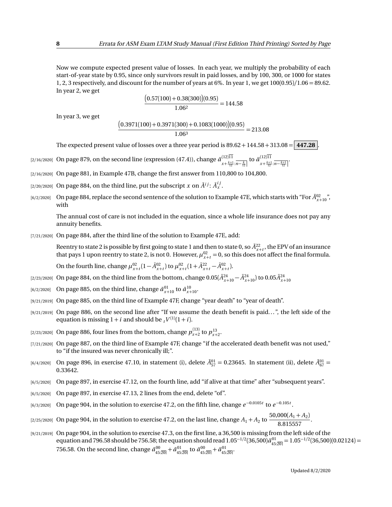Now we compute expected present value of losses. In each year, we multiply the probability of each start-of-year state by 0.95, since only survivors result in paid losses, and by 100, 300, or 1000 for states 1, 2, 3 respectively, and discount for the number of years at 6%. In year 1, we get 100(0.95)*/*1.06 = 89.62. In year 2, we get

$$
\frac{(0.57(100) + 0.38(300))(0.95)}{1.06^2} = 144.58
$$

In year 3, we get

$$
\frac{(0.3971(100) + 0.3971(300) + 0.1083(1000))(0.95)}{1.063} = 213.08
$$

The expected present value of losses over a three year period is  $89.62 + 144.58 + 313.08 = 447.28$ 

- [2/16/2020] On page 879, on the second line (expression (47.4)), change *a*¨ (12)11  $\frac{(12)11}{x + \frac{k+1}{12} \cdot n - \frac{k}{12}}$  to  $\frac{\ddot{a}^{(12)11}}{x + \frac{k+1}{12}}$  $x+\frac{k+1}{12}$ : $\overline{n-\frac{k+1}{12}}$
- [2/16/2020] On page 881, in Example 47B, change the first answer from 110,800 to 104,800
- [2/20/2020] On page 884, on the third line, put the subscript  $x$  on  $\tilde{A}^{ij}\colon \tilde{A}_x^{ij}.$
- [6/2/2020] On page 884, replace the second sentence of the solution to Example 47E, which starts with "For  $\bar{A}^{02}_{x+10}$ ", with

The annual cost of care is not included in the equation, since a whole life insurance does not pay any annuity benefits.

[7/21/2020] On page 884, after the third line of the solution to Example 47E, add:

Reentry to state 2 is possible by first going to state 1 and then to state 0, so  $\bar{A}^{22}_{x+t}$ , the EPV of an insurance that pays 1 upon reentry to state 2, is not 0. However,  $\mu_{x+t}^{02} = 0$ , so this does not affect the final formula.

On the fourth line, change  $\mu_{x+t}^{02} (1 - \bar{A}_{x+t}^{02})$  to  $\mu_{x+t}^{02} (1 + \bar{A}_{x+t}^{22} - \bar{A}_{x+t}^{02})$ .

- $(2/23/2020]$  On page 884, on the third line from the bottom, change  $0.05(\bar{A}^{24}_{x+10}-\bar{A}^{24}_{x+10})$  to  $0.05\bar{A}^{24}_{x+10}$
- $\bar{a}^{(6/2/2020)}$  On page 885, on the third line, change  $\bar{a}^{01}_{x+10}$  to  $\bar{a}^{10}_{x+10}$ .
- [9/21/2019] On page 885, on the third line of Example 47F, change "year death" to "year of death".
- [9/21/2019] On page 886, on the second line after "If we assume the death benefit is paid...", the left side of the equation is missing  $1 + i$  and should be  $\mathfrak{z}_t V^{(1)}(1+i)$ .
- [2/23/2020] On page 886, four lines from the bottom, change  $p_{x+2}^{(13)}$  to  $p_{x+2}^{13}$ .
- [7/21/2020] On page 887, on the third line of Example 47F, change "if the accelerated death benefit was not used," to "if the insured was never chronically ill;".
- $[6/4/2020]$  On page 896, in exercise 47.10, in statement (i), delete  $\bar{A}^{01}_{57} = 0.23645$ . In statement (ii), delete  $\bar{A}^{01}_{67} = 0.23645$ 0.33642.
- [6/5/2020] On page 897, in exercise 47.12, on the fourth line, add "if alive at that time" after "subsequent years".
- [6/5/2020] On page 897, in exercise 47.13, 2 lines from the end, delete "of".
- $_{[6/3/2020]}$  On page 904, in the solution to exercise 47.2, on the fifth line, change  $e^{-0.0105t}$  to  $e^{-0.105t}$ .
- [2/25/2020] On page 904, in the solution to exercise 47.2, on the last line, change  $A_1 + A_2$  to  $\frac{50,000(A_1 + A_2)}{8,0.15557}$  $\frac{1}{8.815557}$ .
- [9/21/2019] On page 904, in the solution to exercise 47.3, on the first line, a 36,500 is missing from the left side of the equation and 796.58 should be 756.58; the equation should read  $1.05^{-1/2}(36,500)\ddot{a}_{45:\overline{20}}^{01} = 1.05^{-1/2}(36,500)(0.02124) =$ 756.58. On the second line, change  $\bar{a}_{45:20]}^{00} + \bar{a}_{45:20}^{01}$  to  $\ddot{a}_{45:20]}^{00} + \ddot{a}_{45:20}^{01}$ .

Updated 8/2/2020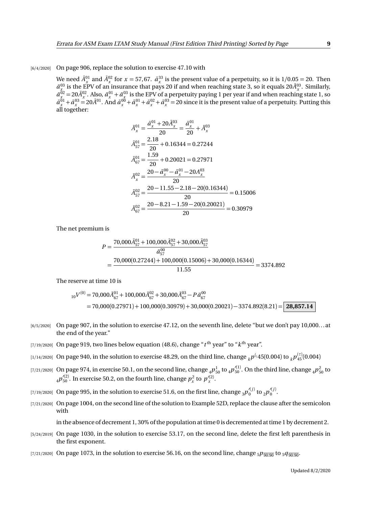## [6/4/2020] On page 906, replace the solution to exercise 47.10 with

We need  $\bar{A}_x^{01}$  and  $\bar{A}_x^{02}$  for  $x = 57,67$ .  $\bar{a}_x^{33}$  is the present value of a perpetuity, so it is  $1/0.05 = 20$ . Then  $\bar{a}^{03}_{x}$  is the EPV of an insurance that pays 20 if and when reaching state 3, so it equals 20 $\bar{A}^{03}_{x}$ . Similarly,  $\bar{a}^{\bar{0}2}_{x} = 20 \bar{A}^{02}_{x}$ . Also,  $\bar{a}^{01}_{x} + \bar{a}^{03}_{x}$  is the EPV of a perpetuity paying 1 per year if and when reaching state 1, so  $\bar{a}^{01}_x + \bar{a}^{03}_x = 20 \bar{A}^{01}$ . And  $\bar{a}^{00}_x + \bar{a}^{01}_x + \bar{a}^{02}_x + \bar{a}^{03}_x = 20$  since it is the present value of a perpetuity. Putting this all together:

$$
\bar{A}_{x}^{01} = \frac{\bar{a}_{x}^{01} + 20\bar{A}_{x}^{03}}{20} = \frac{\bar{a}_{x}^{01}}{20} + \bar{A}_{x}^{03}
$$
\n
$$
\bar{A}_{57}^{01} = \frac{2.18}{20} + 0.16344 = 0.27244
$$
\n
$$
\bar{A}_{67}^{01} = \frac{1.59}{20} + 0.20021 = 0.27971
$$
\n
$$
\bar{A}_{x}^{02} = \frac{20 - \bar{a}_{x}^{00} - \bar{a}_{x}^{01} - 20A_{x}^{03}}{20}
$$
\n
$$
\bar{A}_{57}^{02} = \frac{20 - 11.55 - 2.18 - 20(0.16344)}{20} = 0.15006
$$
\n
$$
\bar{A}_{67}^{02} = \frac{20 - 8.21 - 1.59 - 20(0.20021)}{20} = 0.30979
$$

The net premium is

$$
P = \frac{70,000\overline{A}_{57}^{01} + 100,000\overline{A}_{57}^{02} + 30,000\overline{A}_{57}^{03}}{\overline{a}_{57}^{00}} = \frac{70,000(0.27244) + 100,000(0.15006) + 30,000(0.16344)}{11.55} = 3374.892
$$

The reserve at time 10 is

$$
{}_{10}V^{(0)} = 70,000\bar{A}_{67}^{01} + 100,000\bar{A}_{67}^{02} + 30,000\bar{A}_{67}^{03} - P\ddot{a}_{67}^{00}
$$
  
= 70,000(0.27971) + 100,000(0.30979) + 30,000(0.20021) - 3374.892(8.21) = 28,857.14

- [6/5/2020] On page 907, in the solution to exercise 47.12, on the seventh line, delete "but we don't pay 10,000... at the end of the year."
- $_{\rm [7/19/2020]}$  On page 919, two lines below equation (48.6), change " $t^{\rm th}$  year" to " $k^{\rm th}$  year".
- $_{[1/14/2020]}$  On page 940, in the solution to exercise 48.29, on the third line, change  $_{k}p^{(_{1}45(0.004)\text{ to }}_{k}p^{(^{7)}_{45}(0.004) }$
- [7/21/2020] On page 974, in exercise 50.1, on the second line, change  $_4P_{50}^1$  to  $_4p_{50}^{\prime(1)}$ . On the third line, change  $_4p_{50}^2$  to  $_4p_{50}^{\prime(2)}$ . In exercise 50.2, on the fourth line, change  $p_x^2$  to  $p_x^{\prime(2)}$ .
- [7/19/2020] On page 995, in the solution to exercise 51.6, on the first line, change  $_3p_0^{\prime(j)}$  to  $_2p_0^{\prime(j)}$ .
- [7/21/2020] On page 1004, on the second line of the solution to Example 52D, replace the clause after the semicolon with

in the absence of decrement 1, 30% of the population at time 0 is decremented at time 1 by decrement 2.

- [5/24/2019] On page 1030, in the solution to exercise 53.17, on the second line, delete the first left parenthesis in the first exponent.
- [7/21/2020] On page 1073, in the solution to exercise 56.16, on the second line, change  $5p_{90:90}^{-1}$  to  $5q_{90:90}^{-1}$ .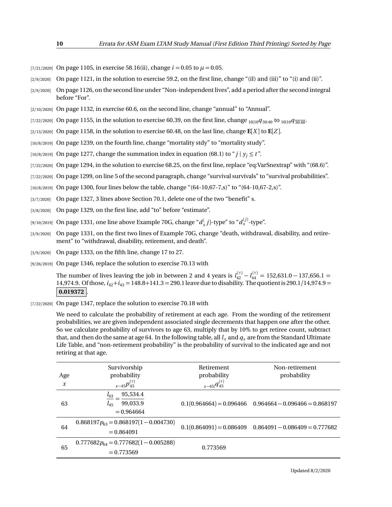- [7/21/2020] On page 1105, in exercise 58.16(ii), change  $i = 0.05$  to  $\mu = 0.05$ .
- $[2/9/2020]$  On page 1121, in the solution to exercise 59.2, on the first line, change "(iI) and (iii)" to "(i) and (iii)".
- [2/9/2020] On page 1126, on the second line under "Non-independent lives", add a period after the second integral before "For".
- [2/10/2020] On page 1132, in exercise 60.6, on the second line, change "annual" to "Annual".
- [7/22/2020] On page 1155, in the solution to exercise 60.39, on the first line, change <sub>10|10</sub> $q_{30:40}$  to <sub>10|10</sub> $q_{30:40}$ .
- $\lbrack 2/13/2020\rbrack$  On page 1158, in the solution to exercise 60.48, on the last line, change  $\mathbf{E}[X]$  to  $\mathbf{E}[Z]$ .
- [10/8/2019] On page 1239, on the fourth line, change "mortality stdy" to "mortality study".
- [10/8/2019] On page 1277, change the summation index in equation (68.1) to " $j \mid y_j \le t$ ".
- [7/22/2020] On page 1294, in the solution to exercise 68.25, on the first line, replace "eq:VarSnextrap" with "(68.6)".
- [7/22/2020] On page 1299, on line 5 of the second paragraph, change "survival survivals" to "survival probabilities".
- [10/8/2019] On page 1300, four lines below the table, change "(64-10,67-7,s)" to "(64-10,67-2,s)".
- [3/7/2020] On page 1327, 3 lines above Section 70.1, delete one of the two "benefit" s.
- [3/8/2020] On page 1329, on the first line, add "to" before "estimate".
- [9/10/2019] On page 1331, one line above Example 70G, change " $d_{x}^{(}$   $j$ )-type" to " $d_{x}^{(j)}$ -type".
- [3/9/2020] On page 1331, on the first two lines of Example 70G, change "death, withdrawal, disability, and retirement" to "withdrawal, disability, retirement, and death".
- [3/9/2020] On page 1333, on the fifth line, change 17 to 27.
- [9/26/2019] On page 1346, replace the solution to exercise 70.13 with

The number of lives leaving the job in between 2 and 4 years is  $l_{42}^{(\tau)} - l_{44}^{(\tau)} = 152{,}631.0 - 137{,}656.1 =$ 14,974.9. Of those, *i*42+*i*<sup>43</sup> = 148.8+141.3 = 290.1 leave due to disability. The quotient is 290.1*/*14,974.9 =  $|0.019372|$ 

[7/22/2020] On page 1347, replace the solution to exercise 70.18 with

We need to calculate the probability of retirement at each age. From the wording of the retirement probabilities, we are given independent associated single decrements that happen one after the other. So we calculate probability of survivors to age 63, multiply that by 10% to get retiree count, subtract that, and then do the same at age 64. In the following table, all  $l_x$  and  $q_x$  are from the Standard Ultimate Life Table, and "non-retirement probability" is the probability of survival to the indicated age and not retiring at that age.

| Age<br>$\boldsymbol{x}$ | Survivorship<br>probability<br>$x-45p_{45}^{(\tau)}$         | Retirement<br>probability<br>$x-45 q_{45}^{(r)}$ | Non-retirement<br>probability                               |
|-------------------------|--------------------------------------------------------------|--------------------------------------------------|-------------------------------------------------------------|
| 63                      | 95,534.4<br>$l_{63}$<br>99,033.9<br>$l_{45}$<br>$= 0.964664$ |                                                  | $0.1(0.964664) = 0.096466$ $0.964664 - 0.096466 = 0.868197$ |
| 64                      | $0.868197p_{63} = 0.868197(1 - 0.004730)$<br>$= 0.864091$    |                                                  | $0.1(0.864091) = 0.086409$ $0.864091 - 0.086409 = 0.777682$ |
| 65                      | $0.777682p_{64} = 0.777682(1 - 0.005288)$<br>$= 0.773569$    | 0.773569                                         |                                                             |

Updated 8/2/2020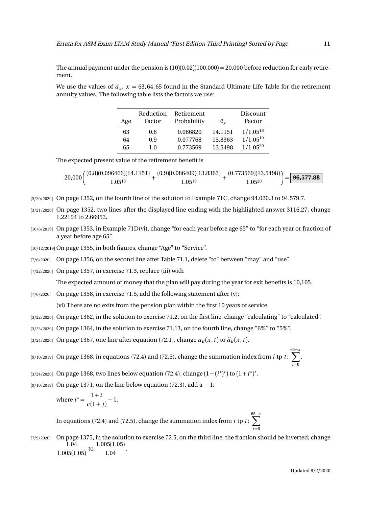The annual payment under the pension is  $(10)(0.02)(100,000) = 20,000$  before reduction for early retirement.

We use the values of  $\ddot{a}_x$ ,  $x = 63,64,65$  found in the Standard Ultimate Life Table for the retirement annuity values. The following table lists the factors we use:

| Age | Reduction<br>Factor | Retirement<br>Probability | ä.      | Discount<br>Factor |
|-----|---------------------|---------------------------|---------|--------------------|
| 63  | 0.8                 | 0.086820                  | 14.1151 | $1/1.05^{18}$      |
| 64  | 0.9                 | 0.077768                  | 13.8363 | $1/1.05^{19}$      |
| 65  | 1.0                 | 0.773569                  | 13.5498 | $1/1.05^{20}$      |

The expected present value of the retirement benefit is

$$
20,000\bigg(\frac{(0.8)(0.096466)(14.1151)}{1.05^{18}}+\frac{(0.9)(0.086409)(13.8363)}{1.05^{19}}+\frac{(0.773569)(13.5498)}{1.05^{20}}\bigg)=\boxed{\textbf{96,577.88}}
$$

- [3/20/2020] On page 1352, on the fourth line of the solution to Example 71C, change 94.020.3 to 94.579.7.
- [3/21/2020] On page 1352, two lines after the displayed line ending with the highlighted answer 3116.27, change 1.22194 to 2.66952.
- [10/6/2019] On page 1353, in Example 71D(vi), change "for each year before age 65" to "for each year or fraction of a year before age 65".
- [10/12/2019] On page 1355, in both figures, change "Age" to "Service".
- [7/6/2020] On page 1356, on the second line after Table 71.1, delete "to" between "may" and "use".
- $[7/22/2020]$  On page 1357, in exercise 71.3, replace (iii) with

The expected amount of money that the plan will pay during the year for exit benefits is 10,105.

 $[7/6/2020]$  On page 1358, in exercise 71.5, add the following statement after (v):

(vi) There are no exits from the pension plan within the first 10 years of service.

- [3/22/2020] On page 1362, in the solution to exercise 71.2, on the first line, change "calculating" to "calculated".
- [3/23/2020] On page 1364, in the solution to exercise 71.13, on the fourth line, change "6%" to "5%".
- $[3/24/2020]$  On page 1367, one line after equation (72.1), change  $a_B(x, t)$  to  $\ddot{a}_B(x, t)$ .
- [9/10/2019] On page 1368, in equations (72.4) and (72.5), change the summation index from *i* tp *t* :  $\sum_{n=1}^{65-x}$
- [3/24/2020] On page 1368, two lines below equation (72.4), change  $(1 + (i^*)^t)$  to  $(1 + i^*)^t$ .
- [9/10/2019] On page 1371, on the line below equation (72.3), add a  $-1$ :

where 
$$
i^* = \frac{1+i}{c(1+j)} - 1
$$
.

In equations (72.4) and (72.5), change the summation index from *i* tp *t* : 65 X−*x*  $t = 0$ 

[7/9/2020] On page 1375, in the solution to exercise 72.5, on the third line, the fraction should be inverted; change 1.04  $\frac{1.04}{1.005(1.05)}$  to  $\frac{1.005(1.05)}{1.04}$  $\frac{1.04}{1.04}$ .

 $t = 0$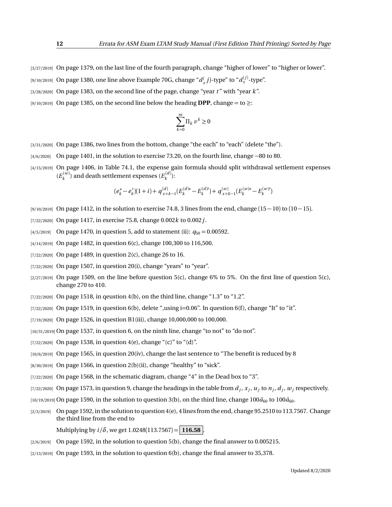- [3/27/2019] On page 1379, on the last line of the fourth paragraph, change "higher of lower" to "higher or lower".
- [9/10/2019] On page 1380, one line above Example 70G, change " $d_{x}^{(}$   $j$ )-type" to " $d_{x}^{(j)}$ -type".
- [3/28/2020] On page 1383, on the second line of the page, change "year *t* " with "year *k*".
- [9/10/2019] On page 1385, on the second line below the heading **DPP**, change = to ≥:

$$
\sum_{k=0}^m \Pi_k \, \upsilon^k \geq 0
$$

- [3/31/2020] On page 1386, two lines from the bottom, change "the each" to "each" (delete "the").
- [4/6/2020] On page 1401, in the solution to exercise 73.20, on the fourth line, change −80 to 80.
- [4/15/2019] On page 1406, in Table 74.1, the expense gain formula should split withdrawal settlement expenses  $(E_k^{(w)})$  and death settlement expenses  $(E_k^{(d)})$ :

$$
(e_k^* - e_k')(1+i) + q_{x+k-1}^{(d)}(E_k^{(d)*} - E_k^{(d)}) + q_{x+k-1}^{(w)}(E_k^{(w)*} - E_k^{(w)})
$$

- $[9/10/2019]$  On page 1412, in the solution to exercise 74.8, 3 lines from the end, change  $(15-10)$  to  $(10-15)$ .
- [7/22/2020] On page 1417, in exercise 75.8, change 0.002*k* to 0.002*j*.
- [4/5/2019] On page 1470, in question 5, add to statement (ii):  $q_{50} = 0.00592$ .
- [4/14/2019] On page 1482, in question 6(c), change 100,300 to 116,500.
- [7/22/2020] On page 1489, in question 2(c), change 26 to 16.
- $[7/22/2020]$  On page 1507, in question 20(i), change "years" to "year".
- $[2/27/2019]$  On page 1509, on the line before question 5(c), change 6% to 5%. On the first line of question 5(c), change 270 to 410.
- $[7/22/2020]$  On page 1518, in qeustion 4(b), on the third line, change "1.3" to "1.2".
- $[7/22/2020]$  On page 1519, in question 6(b), delete ",using  $i=0.06$ ". In question 6(f), change "It" to "it".
- [7/19/2020] On page 1526, in question B1(iii), change 10,000,000 to 100,000.
- [10/31/2019] On page 1537, in question 6, on the ninth line, change "to not" to "do not".
- [7/22/2020] On page 1538, in question 4(e), change "(c)" to "(d)".
- [10/6/2019] On page 1565, in question 20(iv), change the last sentence to "The benefit is reduced by 8
- $[8/30/2019]$  On page 1566, in question 2(b)(ii), change "healthy" to "sick".
- $[7/22/2020]$  On page 1568, in the schematic diagram, change "4" in the Dead box to "3".
- $_{[7/22/2020]}$  On page 1573, in question 9, change the headings in the table from  $d_j, x_j, u_j$  to  $n_j, d_j, w_j$  respectively.
- $(10/19/2019)$  On page 1590, in the solution to question 3(b), on the third line, change  $100\ddot{a}_{60}$  to  $100\ddot{a}_{60}$ .
- $[2/3/2019]$  On page 1592, in the solution to question  $4(e)$ , 4 lines from the end, change 95.2510 to 113.7567. Change the third line from the end to
	- Multiplying by  $i/\delta$ , we get 1.0248(113.7567) = 116.58
- [2/6/2019] On page 1592, in the solution to question 5(b), change the final answer to 0.005215.
- $[2/13/2019]$  On page 1593, in the solution to question 6(b), change the final answer to 35,378.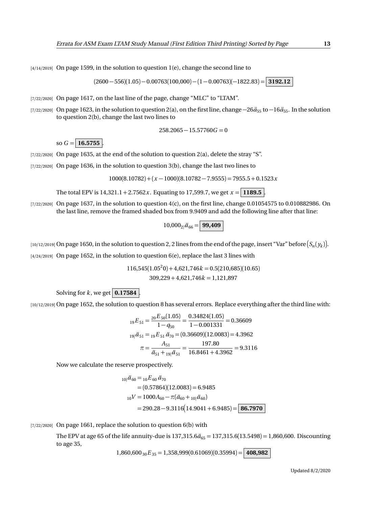$(2600 - 556)(1.05) - 0.00763(100,000) - (1 - 0.00763)(-1822.83) =$  **3192.12** 

[7/22/2020] On page 1617, on the last line of the page, change "MLC" to "LTAM".

 $[4/14/2019]$  On page 1599, in the solution to question 1(e), change the second line to

[7/22/2020] On page 1623, in the solution to question 2(a), on the first line, change  $-26\ddot{a}_{55}$  to  $-16\ddot{a}_{55}$ . In the solution to question 2(b), change the last two lines to

$$
258.2065 - 15.57760G = 0
$$

so  $G = 16.5755$ .

- [7/22/2020] On page 1635, at the end of the solution to question 2(a), delete the stray "S".
- $[7/22/2020]$  On page 1636, in the solution to question 3(b), change the last two lines to

$$
1000(8.10782) + (x - 1000)(8.10782 - 7.9555) = 7955.5 + 0.1523x
$$

The total EPV is  $14,321.1 + 2.7562x$ . Equating to 17,599.7, we get  $x = 1189.5$ 

 $[7/22/2020]$  On page 1637, in the solution to question  $4(c)$ , on the first line, change 0.01054575 to 0.010882986. On the last line, remove the framed shaded box from 9.9409 and add the following line after that line:

$$
10,000_{2}|\ddot{a}_{66}=\boxed{99,409}
$$

 $_1$ 10/12/2019] On page 1650, in the solution to question 2, 2 lines from the end of the page, insert "Var" before  $(S_n(y_k)].$ 

 $[4/24/2019]$  On page 1652, in the solution to question 6(e), replace the last 3 lines with

$$
116,545(1.05^20) + 4,621,746k = 0.5(210,685)(10.65)
$$
  

$$
309,229 + 4,621,746k = 1,121,897
$$

Solving for  $k$ , we get  $\boxed{0.17584}$ 

[10/12/2019] On page 1652, the solution to question 8 has several errors. Replace everything after the third line with:

$$
{}_{19}E_{51} = \frac{{}_{20}E_{50}(1.05)}{1 - q_{50}} = \frac{0.34824(1.05)}{1 - 0.001331} = 0.36609
$$
  

$$
{}_{19}i\ddot{a}_{51} = {}_{19}E_{51}\ddot{a}_{70} = (0.36609)(12.0083) = 4.3962
$$
  

$$
\pi = \frac{A_{51}}{\ddot{a}_{51} + {}_{19}i\ddot{a}_{51}} = \frac{197.80}{16.8461 + 4.3962} = 9.3116
$$

Now we calculate the reserve prospectively.

$$
{}_{10|}\ddot{a}_{60} = {}_{10}E_{60}\ddot{a}_{70}
$$
  
= (0.57864)(12.0083) = 6.9485  

$$
{}_{10}V = 1000A_{60} - \pi(\ddot{a}_{60} + {}_{10}|\ddot{a}_{60})
$$
  
= 290.28 - 9.3116(14.9041 + 6.9485) = 86.7970

[7/22/2020] On page 1661, replace the solution to question 6(b) with

The EPV at age 65 of the life annuity-due is  $137,315.6\ddot{a}_{65} = 137,315.6(13.5498) = 1,860,600$ . Discounting to age 35,

 $1,860,600_{30}E_{35} = 1,358,999(0.61069)(0.35994) = |$ **408,982**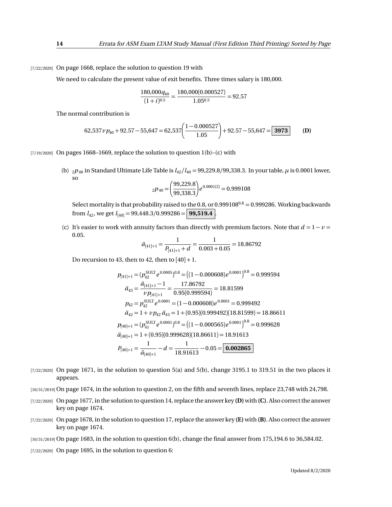[7/22/2020] On page 1668, replace the solution to question 19 with

We need to calculate the present value of exit benefits. Three times salary is 180,000.

$$
\frac{180,000q_{40}}{(1+i)^{0.5}} = \frac{180,000(0.000527)}{1.05^{0.5}} = 92.57
$$

The normal contribution is

62,537 
$$
v p_{40}
$$
 + 92.57 - 55,647 = 62,537  $\bigg( \frac{1 - 0.000527}{1.05} \bigg)$  + 92.57 - 55,647 = 3973 (D)

 $[7/19/2020]$  On pages 1668–1669, replace the solution to question 1(b)–(c) with

(b)  $_2p_{40}$  in Standard Ultimate Life Table is  $l_{42}/l_{40} = 99,229.8/99,338.3$ . In your table,  $\mu$  is 0.0001 lower, so

$$
{}_{2}p_{40} = \left(\frac{99,229.8}{99,338.3}\right) e^{0.0001(2)} = 0.999108
$$

Select mortality is that probability raised to the 0.8, or  $0.999108^{0.8} = 0.999286$ . Working backwards from  $l_{42}$ , we get  $l_{[40]} = 99,448.3/0.999286 =$  **99,519.4** 

(c) It's easier to work with annuity factors than directly with premium factors. Note that  $d = 1 - v =$ 0.05.

$$
\ddot{a}_{[41]+1} = \frac{1}{P_{[41]+1} + d} = \frac{1}{0.003 + 0.05} = 18.86792
$$

Do recursion to 43, then to 42, then to  $[40]+1$ .

$$
p_{[41]+1} = (p_{42}^{\text{SULT}} e^{0.0005})^{0.8} = ((1 - 0.000608)e^{0.0001})^{0.8} = 0.999594
$$
  
\n
$$
\ddot{a}_{43} = \frac{\ddot{a}_{[41]+1} - 1}{v p_{[41]+1}} = \frac{17.86792}{0.95(0.999594)} = 18.81599
$$
  
\n
$$
p_{42} = p_{42}^{\text{SULT}} e^{0.0001} = (1 - 0.000608)e^{0.0001} = 0.999492
$$
  
\n
$$
\ddot{a}_{42} = 1 + v p_{42} \ddot{a}_{43} = 1 + (0.95)(0.999492)(18.81599) = 18.86611
$$
  
\n
$$
p_{[40]+1} = (p_{41}^{\text{SULT}} e^{0.0001})^{0.8} = ((1 - 0.000565)e^{0.0001})^{0.8} = 0.999628
$$
  
\n
$$
\ddot{a}_{[40]+1} = 1 + (0.95)(0.999628)(18.86611) = 18.91613
$$
  
\n
$$
P_{[40]+1} = \frac{1}{\ddot{a}_{[40]+1}} - d = \frac{1}{18.91613} - 0.05 = \boxed{0.002865}
$$

- $[7/22/2020]$  On page 1671, in the solution to question 5(a) and 5(b), change 3195.1 to 319.51 in the two places it appears.
- [10/31/2019] On page 1674, in the solution to question 2, on the fifth and seventh lines, replace 23,748 with 24,798.
- [7/22/2020] On page 1677, in the solution to question 14, replace the answer key **(D)**with **(C)**. Also correct the answer key on page 1674.
- [7/22/2020] On page 1678, in the solution to question 17, replace the answer key **(E)** with **(B)**. Also correct the answer key on page 1674.
- [10/31/2019] On page 1683, in the solution to question 6(b), change the final answer from 175,194.6 to 36,584.02.
- [7/22/2020] On page 1695, in the solution to question 6: